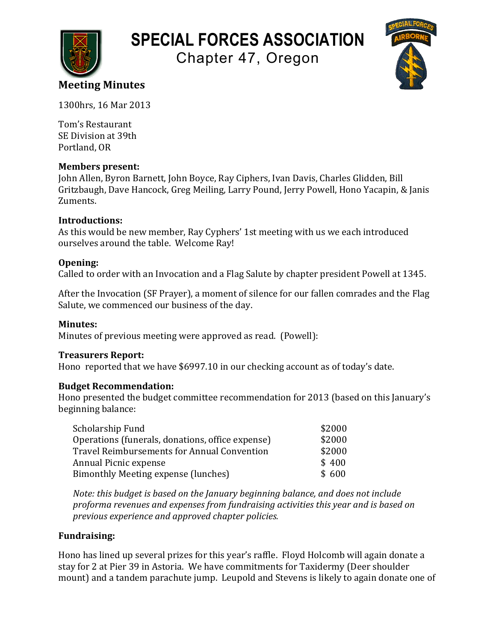

# **SPECIAL FORCES ASSOCIATION**

Chapter 47, Oregon



# **Meeting Minutes**

1300hrs, 16 Mar 2013

Tom's Restaurant SE Division at 39th Portland, OR

### **Members present:**

John Allen, Byron Barnett, John Boyce, Ray Ciphers, Ivan Davis, Charles Glidden, Bill Gritzbaugh, Dave Hancock, Greg Meiling, Larry Pound, Jerry Powell, Hono Yacapin, & Janis Zuments.

## **Introductions:**

As this would be new member, Ray Cyphers' 1st meeting with us we each introduced ourselves around the table. Welcome Ray!

## **Opening:**

Called to order with an Invocation and a Flag Salute by chapter president Powell at 1345.

After the Invocation (SF Prayer), a moment of silence for our fallen comrades and the Flag Salute, we commenced our business of the day.

## **Minutes:**

Minutes of previous meeting were approved as read. (Powell):

### **Treasurers Report:**

Hono reported that we have \$6997.10 in our checking account as of today's date.

### **Budget Recommendation:**

Hono presented the budget committee recommendation for 2013 (based on this January's beginning balance:

| Scholarship Fund                                   | \$2000 |
|----------------------------------------------------|--------|
| Operations (funerals, donations, office expense)   | \$2000 |
| <b>Travel Reimbursements for Annual Convention</b> | \$2000 |
| Annual Picnic expense                              | \$400  |
| Bimonthly Meeting expense (lunches)                | \$600  |

*Note:* this budget is based on the January beginning balance, and does not include proforma revenues and expenses from fundraising activities this year and is based on *previous experience and approved chapter policies.*

## **Fundraising:**

Hono has lined up several prizes for this year's raffle. Floyd Holcomb will again donate a stay for 2 at Pier 39 in Astoria. We have commitments for Taxidermy (Deer shoulder mount) and a tandem parachute jump. Leupold and Stevens is likely to again donate one of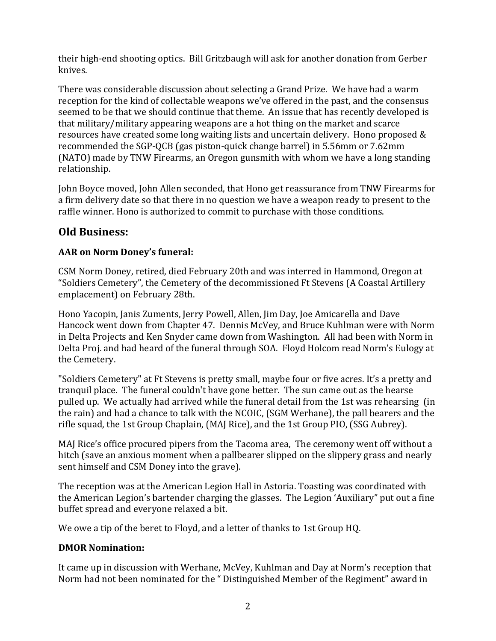their high-end shooting optics. Bill Gritzbaugh will ask for another donation from Gerber knives.

There was considerable discussion about selecting a Grand Prize. We have had a warm reception for the kind of collectable weapons we've offered in the past, and the consensus seemed to be that we should continue that theme. An issue that has recently developed is that military/military appearing weapons are a hot thing on the market and scarce resources have created some long waiting lists and uncertain delivery. Hono proposed  $\&$ recommended the SGP-QCB (gas piston-quick change barrel) in 5.56mm or 7.62mm (NATO) made by TNW Firearms, an Oregon gunsmith with whom we have a long standing relationship.

John Boyce moved, John Allen seconded, that Hono get reassurance from TNW Firearms for a firm delivery date so that there in no question we have a weapon ready to present to the raffle winner. Hono is authorized to commit to purchase with those conditions.

# **Old Business:**

# **AAR** on Norm Doney's funeral:

CSM Norm Doney, retired, died February 20th and was interred in Hammond, Oregon at "Soldiers Cemetery", the Cemetery of the decommissioned Ft Stevens (A Coastal Artillery emplacement) on February 28th.

Hono Yacopin, Janis Zuments, Jerry Powell, Allen, Jim Day, Joe Amicarella and Dave Hancock went down from Chapter 47. Dennis McVey, and Bruce Kuhlman were with Norm in Delta Projects and Ken Snyder came down from Washington. All had been with Norm in Delta Proj. and had heard of the funeral through SOA. Floyd Holcom read Norm's Eulogy at the Cemetery.

"Soldiers Cemetery" at Ft Stevens is pretty small, maybe four or five acres. It's a pretty and tranquil place. The funeral couldn't have gone better. The sun came out as the hearse pulled up. We actually had arrived while the funeral detail from the 1st was rehearsing (in the rain) and had a chance to talk with the NCOIC, (SGM Werhane), the pall bearers and the rifle squad, the 1st Group Chaplain, (MAJ Rice), and the 1st Group PIO, (SSG Aubrey).

MAJ Rice's office procured pipers from the Tacoma area, The ceremony went off without a hitch (save an anxious moment when a pallbearer slipped on the slippery grass and nearly sent himself and CSM Doney into the grave).

The reception was at the American Legion Hall in Astoria. Toasting was coordinated with the American Legion's bartender charging the glasses. The Legion 'Auxiliary" put out a fine buffet spread and everyone relaxed a bit.

We owe a tip of the beret to Floyd, and a letter of thanks to 1st Group HQ.

# **DMOR Nomination:**

It came up in discussion with Werhane, McVey, Kuhlman and Day at Norm's reception that Norm had not been nominated for the "Distinguished Member of the Regiment" award in